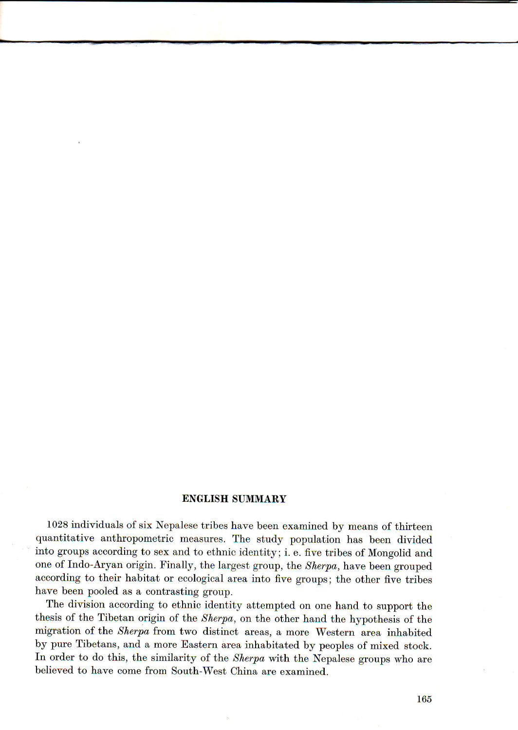## ENGLISH SUMMARY

1028 individuals of six Nepalese tribes have been examined by means of thirteen quantitative anthropometric measures. The study population has been divided into groups according to sex and to ethnic identity; i. e. five tribes of Mongolid and one of Indo-Aryan origin. Finally, the largest group, the Sherpa, have been grouped according to their habitat or ecological area into five groups; the other five tribes have been pooled as a contrasting group.

The division according to ethnic identity attempted on one hand to support the thesis of the Tibetan origin of the Sherpa, on the other hand the hypothesis of the migration of the Sherpa from two distinct areas, & more Western area inhabited by pure Tibetans, and a more Eastern area inhabitated by peoples of mixed stock. In order to do this, the similarity of the Sherpa with the Nepalese groups who are believed to have come from South-West China are examined.